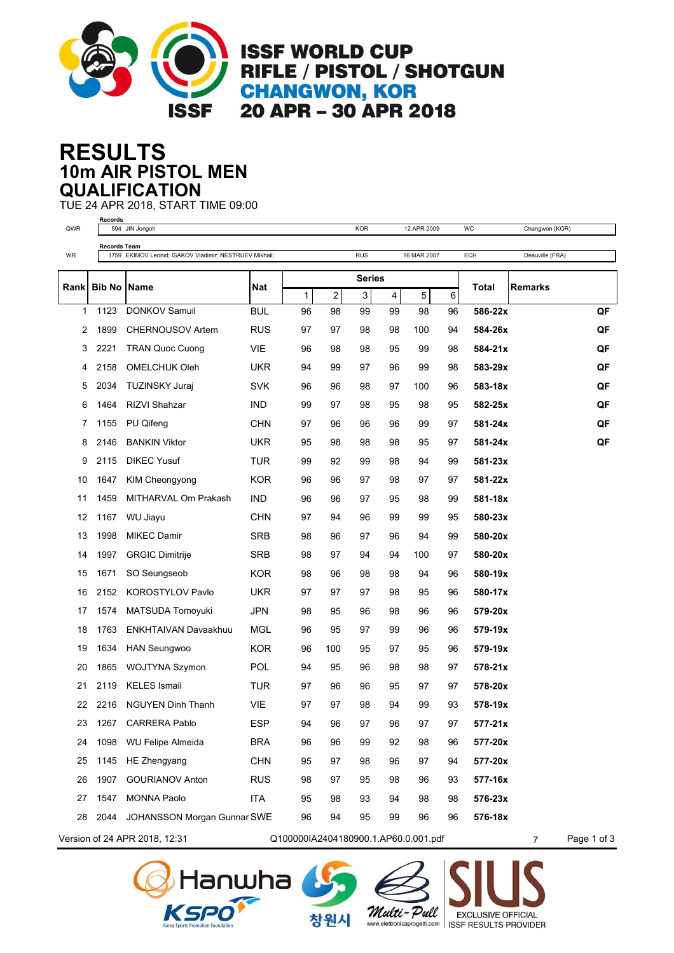

**ISSF WORLD CUP** RIFLE / PISTOL / SHOTGUN **CHANGWON, KOR** 20 APR - 30 APR 2018

## **10m AIR PISTOL MEN RESULTS QUALIFICATION**

TUE 24 APR 2018, START TIME 09:00

| QWR                                                                                     | Records              | 594 JIN Jongoh                                         |            |    |     | <b>KOR</b>    |                | 12 APR 2009 |    | WC          | Changwon (KOR)  |    |
|-----------------------------------------------------------------------------------------|----------------------|--------------------------------------------------------|------------|----|-----|---------------|----------------|-------------|----|-------------|-----------------|----|
|                                                                                         |                      | <b>Records Team</b>                                    |            |    |     |               |                |             |    |             |                 |    |
| WR                                                                                      |                      | 1759 EKIMOV Leonid; ISAKOV Vladimir; NESTRUEV Mikhail; |            |    |     | <b>RUS</b>    |                | 16 MAR 2007 |    | ECH         | Deauville (FRA) |    |
| Rank                                                                                    |                      |                                                        |            |    |     | <b>Series</b> |                |             |    |             |                 |    |
|                                                                                         | <b>Bib No   Name</b> |                                                        | <b>Nat</b> | 1  | 2   | 3             | $\overline{4}$ | 5           | 6  | Total       | <b>Remarks</b>  |    |
| 1                                                                                       | 1123                 | <b>DONKOV Samuil</b>                                   | <b>BUL</b> | 96 | 98  | 99            | 99             | 98          | 96 | 586-22x     |                 | QF |
| 2                                                                                       | 1899                 | <b>CHERNOUSOV Artem</b>                                | <b>RUS</b> | 97 | 97  | 98            | 98             | 100         | 94 | 584-26x     |                 | QF |
| 3                                                                                       | 2221                 | <b>TRAN Quoc Cuong</b>                                 | <b>VIE</b> | 96 | 98  | 98            | 95             | 99          | 98 | 584-21x     |                 | QF |
| 4                                                                                       | 2158                 | <b>OMELCHUK Oleh</b>                                   | <b>UKR</b> | 94 | 99  | 97            | 96             | 99          | 98 | 583-29x     |                 | QF |
| 5                                                                                       | 2034                 | <b>TUZINSKY Juraj</b>                                  | <b>SVK</b> | 96 | 96  | 98            | 97             | 100         | 96 | 583-18x     |                 | QF |
| 6                                                                                       | 1464                 | <b>RIZVI Shahzar</b>                                   | <b>IND</b> | 99 | 97  | 98            | 95             | 98          | 95 | 582-25x     |                 | QF |
| 7                                                                                       | 1155                 | PU Qifeng                                              | <b>CHN</b> | 97 | 96  | 96            | 96             | 99          | 97 | 581-24x     |                 | QF |
| 8                                                                                       | 2146                 | <b>BANKIN Viktor</b>                                   | <b>UKR</b> | 95 | 98  | 98            | 98             | 95          | 97 | 581-24x     |                 | QF |
| 9                                                                                       | 2115                 | <b>DIKEC Yusuf</b>                                     | <b>TUR</b> | 99 | 92  | 99            | 98             | 94          | 99 | 581-23x     |                 |    |
| 10                                                                                      | 1647                 | KIM Cheongyong                                         | <b>KOR</b> | 96 | 96  | 97            | 98             | 97          | 97 | 581-22x     |                 |    |
| 11                                                                                      | 1459                 | MITHARVAL Om Prakash                                   | <b>IND</b> | 96 | 96  | 97            | 95             | 98          | 99 | 581-18x     |                 |    |
| 12                                                                                      | 1167                 | WU Jiayu                                               | <b>CHN</b> | 97 | 94  | 96            | 99             | 99          | 95 | 580-23x     |                 |    |
| 13                                                                                      | 1998                 | <b>MIKEC Damir</b>                                     | <b>SRB</b> | 98 | 96  | 97            | 96             | 94          | 99 | 580-20x     |                 |    |
| 14                                                                                      | 1997                 | <b>GRGIC Dimitrije</b>                                 | <b>SRB</b> | 98 | 97  | 94            | 94             | 100         | 97 | 580-20x     |                 |    |
| 15                                                                                      | 1671                 | SO Seungseob                                           | <b>KOR</b> | 98 | 96  | 98            | 98             | 94          | 96 | 580-19x     |                 |    |
| 16                                                                                      | 2152                 | <b>KOROSTYLOV Pavlo</b>                                | <b>UKR</b> | 97 | 97  | 97            | 98             | 95          | 96 | 580-17x     |                 |    |
| 17                                                                                      | 1574                 | MATSUDA Tomoyuki                                       | <b>JPN</b> | 98 | 95  | 96            | 98             | 96          | 96 | 579-20x     |                 |    |
| 18                                                                                      | 1763                 | ENKHTAIVAN Davaakhuu                                   | <b>MGL</b> | 96 | 95  | 97            | 99             | 96          | 96 | 579-19x     |                 |    |
| 19                                                                                      | 1634                 | <b>HAN Seungwoo</b>                                    | <b>KOR</b> | 96 | 100 | 95            | 97             | 95          | 96 | 579-19x     |                 |    |
| 20                                                                                      | 1865                 | WOJTYNA Szymon                                         | <b>POL</b> | 94 | 95  | 96            | 98             | 98          | 97 | $578 - 21x$ |                 |    |
| 21                                                                                      | 2119                 | <b>KELES</b> Ismail                                    | TUR        | 97 | 96  | 96            | 95             | 97          | 97 | 578-20x     |                 |    |
| 22                                                                                      | 2216                 | <b>NGUYEN Dinh Thanh</b>                               | <b>VIE</b> | 97 | 97  | 98            | 94             | 99          | 93 | 578-19x     |                 |    |
| 23                                                                                      |                      | 1267 CARRERA Pablo                                     | <b>ESP</b> | 94 | 96  | 97            | 96             | 97          | 97 | 577-21x     |                 |    |
| 24                                                                                      | 1098                 | WU Felipe Almeida                                      | <b>BRA</b> | 96 | 96  | 99            | 92             | 98          | 96 | 577-20x     |                 |    |
| 25                                                                                      | 1145                 | HE Zhengyang                                           | <b>CHN</b> | 95 | 97  | 98            | 96             | 97          | 94 | 577-20x     |                 |    |
| 26                                                                                      | 1907                 | <b>GOURIANOV Anton</b>                                 | <b>RUS</b> | 98 | 97  | 95            | 98             | 96          | 93 | 577-16x     |                 |    |
| 27                                                                                      | 1547                 | <b>MONNA Paolo</b>                                     | ITA        | 95 | 98  | 93            | 94             | 98          | 98 | 576-23x     |                 |    |
| 28                                                                                      |                      | 2044 JOHANSSON Morgan Gunnar SWE                       |            | 96 | 94  | 95            | 99             | 96          | 96 | 576-18x     |                 |    |
| Version of 24 APR 2018, 12:31<br>Q100000IA2404180900.1.AP60.0.001.pdf<br>$\overline{7}$ |                      |                                                        |            |    |     |               |                |             |    | Page 1 of 3 |                 |    |





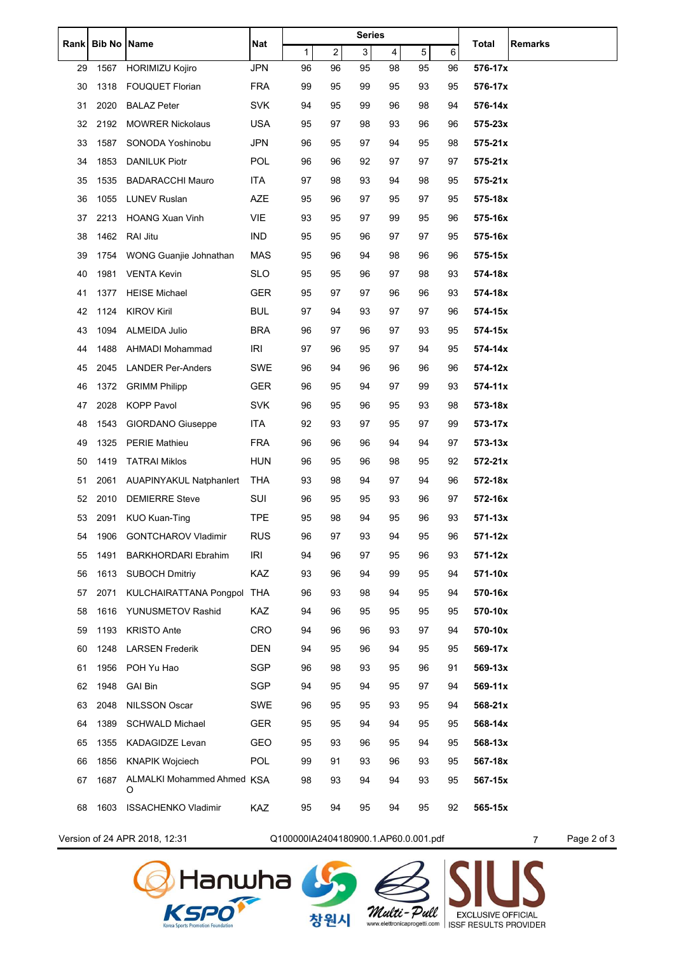| <b>Rank</b> | <b>Bib No Name</b> |                                | Nat        | <b>Series</b>                        |    |    |    |    |    | Total       | Remarks                       |
|-------------|--------------------|--------------------------------|------------|--------------------------------------|----|----|----|----|----|-------------|-------------------------------|
|             |                    |                                |            | 1                                    | 2  | 3  | 4  | 5  | 6  |             |                               |
| 29          | 1567               | <b>HORIMIZU Kojiro</b>         | <b>JPN</b> | 96                                   | 96 | 95 | 98 | 95 | 96 | 576-17x     |                               |
| 30          | 1318               | <b>FOUQUET Florian</b>         | <b>FRA</b> | 99                                   | 95 | 99 | 95 | 93 | 95 | 576-17x     |                               |
| 31          | 2020               | <b>BALAZ Peter</b>             | <b>SVK</b> | 94                                   | 95 | 99 | 96 | 98 | 94 | 576-14x     |                               |
| 32          | 2192               | <b>MOWRER Nickolaus</b>        | <b>USA</b> | 95                                   | 97 | 98 | 93 | 96 | 96 | $575 - 23x$ |                               |
| 33          | 1587               | SONODA Yoshinobu               | JPN        | 96                                   | 95 | 97 | 94 | 95 | 98 | $575 - 21x$ |                               |
| 34          | 1853               | <b>DANILUK Piotr</b>           | POL        | 96                                   | 96 | 92 | 97 | 97 | 97 | $575 - 21x$ |                               |
| 35          | 1535               | <b>BADARACCHI Mauro</b>        | ITA        | 97                                   | 98 | 93 | 94 | 98 | 95 | $575 - 21x$ |                               |
| 36          | 1055               | <b>LUNEV Ruslan</b>            | AZE        | 95                                   | 96 | 97 | 95 | 97 | 95 | 575-18x     |                               |
| 37          | 2213               | <b>HOANG Xuan Vinh</b>         | <b>VIE</b> | 93                                   | 95 | 97 | 99 | 95 | 96 | 575-16x     |                               |
| 38          | 1462               | RAI Jitu                       | <b>IND</b> | 95                                   | 95 | 96 | 97 | 97 | 95 | 575-16x     |                               |
| 39          | 1754               | WONG Guanjie Johnathan         | <b>MAS</b> | 95                                   | 96 | 94 | 98 | 96 | 96 | 575-15x     |                               |
| 40          | 1981               | <b>VENTA Kevin</b>             | <b>SLO</b> | 95                                   | 95 | 96 | 97 | 98 | 93 | 574-18x     |                               |
| 41          | 1377               | <b>HEISE Michael</b>           | GER        | 95                                   | 97 | 97 | 96 | 96 | 93 | 574-18x     |                               |
| 42          | 1124               | <b>KIROV Kiril</b>             | <b>BUL</b> | 97                                   | 94 | 93 | 97 | 97 | 96 | 574-15x     |                               |
| 43          | 1094               | ALMEIDA Julio                  | <b>BRA</b> | 96                                   | 97 | 96 | 97 | 93 | 95 | 574-15x     |                               |
| 44          | 1488               | <b>AHMADI Mohammad</b>         | <b>IRI</b> | 97                                   | 96 | 95 | 97 | 94 | 95 | 574-14x     |                               |
| 45          | 2045               | <b>LANDER Per-Anders</b>       | SWE        | 96                                   | 94 | 96 | 96 | 96 | 96 | 574-12x     |                               |
| 46          | 1372               | <b>GRIMM Philipp</b>           | GER        | 96                                   | 95 | 94 | 97 | 99 | 93 | $574 - 11x$ |                               |
| 47          | 2028               | <b>KOPP Pavol</b>              | <b>SVK</b> | 96                                   | 95 | 96 | 95 | 93 | 98 | 573-18x     |                               |
| 48          | 1543               | <b>GIORDANO Giuseppe</b>       | <b>ITA</b> | 92                                   | 93 | 97 | 95 | 97 | 99 | 573-17x     |                               |
| 49          | 1325               | <b>PERIE Mathieu</b>           | <b>FRA</b> | 96                                   | 96 | 96 | 94 | 94 | 97 | $573 - 13x$ |                               |
| 50          | 1419               | <b>TATRAI Miklos</b>           | <b>HUN</b> | 96                                   | 95 | 96 | 98 | 95 | 92 | 572-21x     |                               |
| 51          | 2061               | <b>AUAPINYAKUL Natphanlert</b> | THA        | 93                                   | 98 | 94 | 97 | 94 | 96 | 572-18x     |                               |
| 52          | 2010               | <b>DEMIERRE Steve</b>          | SUI        | 96                                   | 95 | 95 | 93 | 96 | 97 | 572-16x     |                               |
| 53          | 2091               | <b>KUO Kuan-Ting</b>           | TPE        | 95                                   | 98 | 94 | 95 | 96 | 93 | 571-13x     |                               |
| 54          |                    | 1906 GONTCHAROV Vladimir       | <b>RUS</b> | 96                                   | 97 | 93 | 94 | 95 | 96 | 571-12x     |                               |
| 55          | 1491               | <b>BARKHORDARI Ebrahim</b>     | <b>IRI</b> | 94                                   | 96 | 97 | 95 | 96 | 93 | 571-12x     |                               |
| 56          | 1613               | <b>SUBOCH Dmitriy</b>          | KAZ        | 93                                   | 96 | 94 | 99 | 95 | 94 | 571-10x     |                               |
| 57          | 2071               | <b>KULCHAIRATTANA Pongpol</b>  | <b>THA</b> | 96                                   | 93 | 98 | 94 | 95 | 94 | 570-16x     |                               |
| 58          | 1616               | YUNUSMETOV Rashid              | <b>KAZ</b> | 94                                   | 96 | 95 | 95 | 95 | 95 | 570-10x     |                               |
| 59          | 1193               | <b>KRISTO Ante</b>             | CRO        | 94                                   | 96 | 96 | 93 | 97 | 94 | 570-10x     |                               |
| 60          | 1248               | <b>LARSEN Frederik</b>         | <b>DEN</b> | 94                                   | 95 | 96 | 94 | 95 | 95 | 569-17x     |                               |
| 61          | 1956               | POH Yu Hao                     | SGP        | 96                                   | 98 | 93 | 95 | 96 | 91 | $569 - 13x$ |                               |
| 62          | 1948               | <b>GAI Bin</b>                 | SGP        | 94                                   | 95 | 94 | 95 | 97 | 94 | $569-11x$   |                               |
| 63          | 2048               | NILSSON Oscar                  | SWE        | 96                                   | 95 | 95 | 93 | 95 | 94 | 568-21x     |                               |
| 64          | 1389               | <b>SCHWALD Michael</b>         | <b>GER</b> | 95                                   | 95 | 94 | 94 | 95 | 95 | 568-14x     |                               |
| 65          | 1355               | <b>KADAGIDZE Levan</b>         | GEO        | 95                                   | 93 | 96 | 95 | 94 | 95 | 568-13x     |                               |
| 66          | 1856               | <b>KNAPIK Wojciech</b>         | <b>POL</b> | 99                                   | 91 | 93 | 96 | 93 | 95 | 567-18x     |                               |
| 67          | 1687               | ALMALKI Mohammed Ahmed KSA     |            | 98                                   | 93 | 94 | 94 | 93 | 95 | 567-15x     |                               |
|             |                    | O                              |            |                                      |    |    |    |    |    |             |                               |
| 68          | 1603               | <b>ISSACHENKO Vladimir</b>     | KAZ        | 95                                   | 94 | 95 | 94 | 95 | 92 | 565-15x     |                               |
|             |                    | Version of 24 APR 2018, 12:31  |            | Q100000IA2404180900.1.AP60.0.001.pdf |    |    |    |    |    |             | Page 2 of 3<br>$\overline{7}$ |